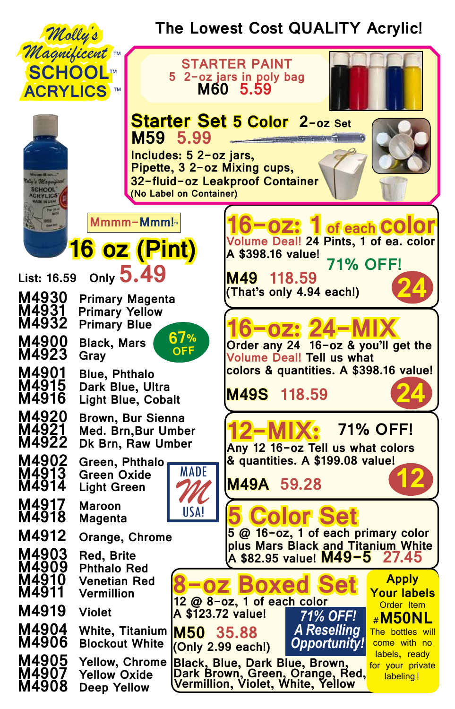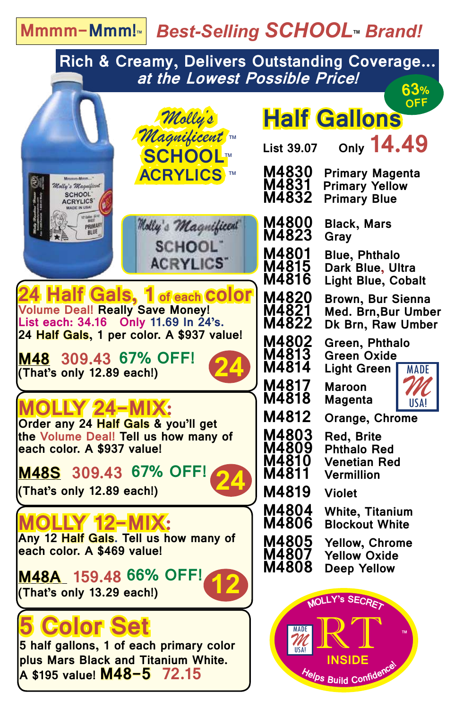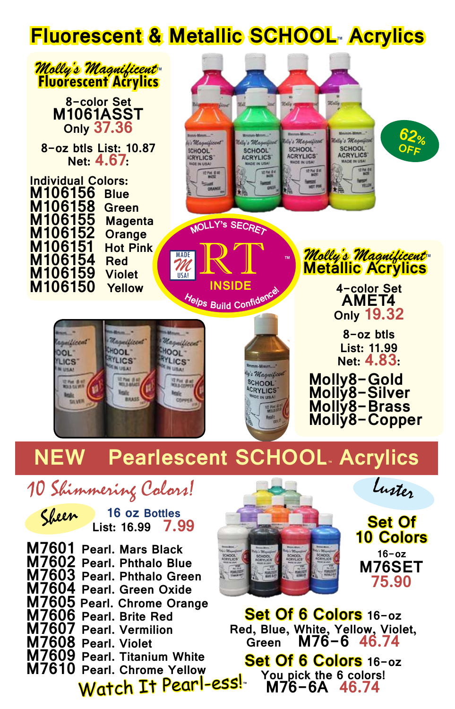#### **Fluorescent & Metallic SCHOOL™ Acrylics**



**M76SET**

**75.90**

**Set Of 6 Colors 16-oz**

**Red, Blue, White, Yellow, Violet, Green M76-6 46.74**

**Set Of 6 Colors 16-oz You pick the 6 colors! M76-6A 46.74**

**™**

**M7601 Pearl. Mars Black M7602 Pearl. Phthalo Blue M7603 Pearl. Phthalo Green M7604 Pearl. Green Oxide M7605 Pearl. Chrome Orange M7606 Pearl. Brite Red M7607 Pearl. Vermilion M7608 Pearl. Violet M7609 Pearl. Titanium White M7610 Pearl. Chrome Yellow** Watch It Pearl-ess!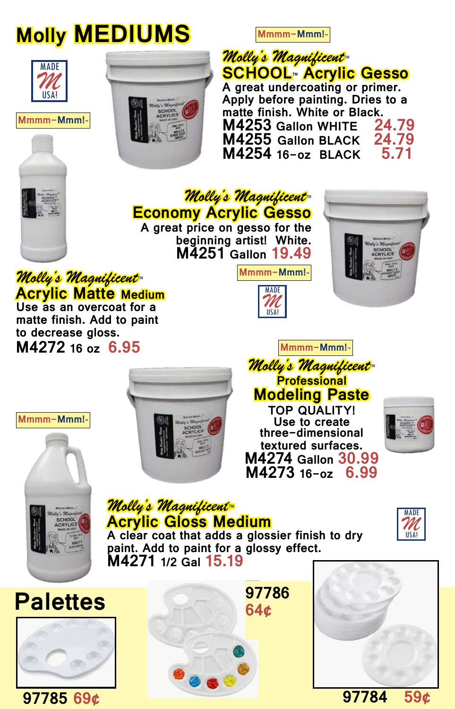## **Molly MEDIUMS**

**Mmmm-Mmm!™**

*Molly's Magnificent***™ SCHOOL™ Acrylic Gesso A great undercoating or primer. Apply before painting. Dries to a**  matte finish. White or Black.<br>M4253 Gallon WHITE 24.79 **M4253 Gallon WHITE 24.79 M4255 Gallon BLACK 24.79**<br>M4254 16-07 BLACK 5.71 **M4254 16-oz BLACK 5.71**



MADE



*Molly's Magnificent***™ Economy Acrylic Gesso**

**A great price on gesso for the beginning artist! White. M4251 Gallon 19.49**



*Molly's Magnificent***™ Acrylic Matte Medium Use as an overcoat for a** 

**matte finish. Add to paint to decrease gloss. M4272 16 oz 6.95**



*Molly's Magnificent***™ Professional Modeling Paste Mmmm-Mmm!™**

MADE

**Mmmm-Mmm!™**

*M* USA!

**TOP QUALITY! Use to create three-dimensional textured surfaces. M4274 Gallon 30.99 M4273 16-oz** 





**Mmmm-Mmm!™**

*Molly's Magnificent***™ Acrylic Gloss Medium**



**A clear coat that adds a glossier finish to dry paint. Add to paint for a glossy effect. M4271 1/2 Gal 15.19**







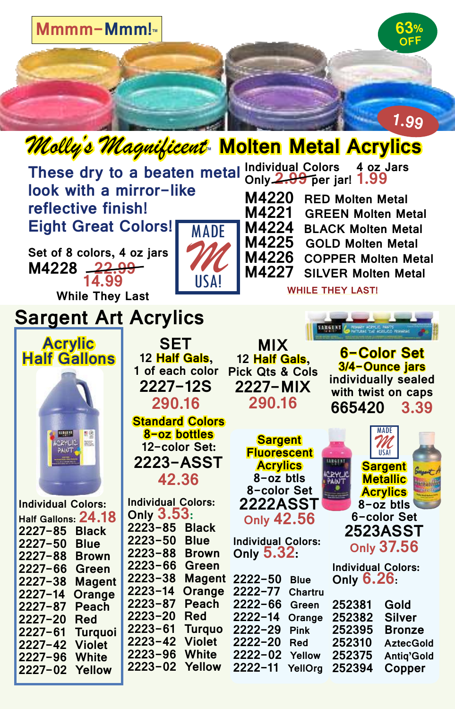

| These dry to a beaten metal<br>look with a mirror-like<br>reflective finish!<br><b>Eight Great Colors!</b><br><b>MADE</b><br>Set of 8 colors, 4 oz jars<br>M4228 <del>22.99</del><br>USA!<br>14.99<br><b>While They Last</b> |                                                                                                                                                                      | Individual Colors 4 oz Jars<br>Only 2.99 per jar! 1.99<br><b>M4220</b><br><b>RED Molten Metal</b><br>M4221<br><b>GREEN Molten Metal</b><br>M4224<br><b>BLACK Molten Metal</b><br>M4225 GOLD Molten Metal<br>M4226<br><b>COPPER Molten Metal</b><br>M4227<br><b>SILVER Molten Metal</b><br><b>WHILE THEY LAST!</b> |                                                                                                                                                |
|------------------------------------------------------------------------------------------------------------------------------------------------------------------------------------------------------------------------------|----------------------------------------------------------------------------------------------------------------------------------------------------------------------|-------------------------------------------------------------------------------------------------------------------------------------------------------------------------------------------------------------------------------------------------------------------------------------------------------------------|------------------------------------------------------------------------------------------------------------------------------------------------|
| <b>Sargent Art Acrylics</b>                                                                                                                                                                                                  |                                                                                                                                                                      |                                                                                                                                                                                                                                                                                                                   |                                                                                                                                                |
| <b>Acrylic</b><br><b>Half Gallons</b>                                                                                                                                                                                        | <b>SET</b><br>12 Half Gals, The<br>1 of each color<br>2227-12S<br>290.16<br><b>Standard Colors</b>                                                                   | <b>MIX</b><br>12 Half Gals,<br><b>Pick Qts &amp; Cols</b><br>2227-MIX<br>290.16                                                                                                                                                                                                                                   | 6-Color Set<br>3/4-Ounce jars<br>individually sealed<br>with twist on caps<br>665420 3.39                                                      |
| 통연<br><u>12 BER 37</u><br>羉                                                                                                                                                                                                  | 8-oz bottles<br>12-color Set:<br>2223-ASST<br>42.36                                                                                                                  | <b>Sargent</b><br><b>Fluorescent</b><br><b>Acrylics</b><br>8-oz btls<br>8-color Set                                                                                                                                                                                                                               | 11 S A I<br><b>Sargent</b><br><b>Metallic</b><br><b>Acrylics</b><br><b>The Media</b>                                                           |
| <b>Individual Colors:</b>                                                                                                                                                                                                    | <b>Individual Colors:</b><br>Only 3.53:                                                                                                                              | <b>2222ASST</b><br><b>Only 42.56</b>                                                                                                                                                                                                                                                                              | 8-oz btls<br>6-color Set                                                                                                                       |
| Half Gallons: 24.18<br>$2227 - 85$<br><b>Black</b><br>$2227 - 50$<br><b>Blue</b><br>$2227 - 88$<br><b>Brown</b><br>2227-66<br>Green<br>$2227 - 38$<br><b>Magent</b><br>$2227 - 14$<br>Orange                                 | 2223-85<br><b>Black</b><br>$2223 - 50$<br><b>Blue</b><br>2223-88<br><b>Brown</b><br>2223-66<br>Green<br>$2223 - 38$<br><b>Magent</b><br>$2223 - 14$<br>Orange        | <b>Individual Colors:</b><br>Only 5.32:<br>$2222 - 50$<br><b>Blue</b><br>$2222 - 77$<br><b>Chartru</b>                                                                                                                                                                                                            | <b>2523ASST</b><br><b>Only 37.56</b><br><b>Individual Colors:</b><br>Only $6.26$ :                                                             |
| 2227-87<br><b>Peach</b><br>2227-20<br>Red<br>$2227 - 61$<br><b>Turquoi</b><br>$2227 - 42$<br><b>Violet</b><br>$2227 - 96$<br>White<br>$2227 - 02$<br>Yellow                                                                  | 2223-87<br><b>Peach</b><br>2223-20<br><b>Red</b><br>$2223 - 61$<br><b>Turquo</b><br><b>Violet</b><br>2223-42<br>$2223 - 96$<br><b>White</b><br>$2223 - 02$<br>Yellow | $2222 - 66$<br>Green<br>$2222 - 14$<br>Orange<br>$2222 - 29$<br><b>Pink</b><br>$2222 - 20$<br><b>Red</b><br>$2222 - 02$<br>Yellow<br>$2222 - 11$<br>YellOrg                                                                                                                                                       | Gold<br>252381<br>252382<br><b>Silver</b><br>252395<br><b>Bronze</b><br>252310<br><b>AztecGold</b><br>252375<br>Antiq'Gold<br>252394<br>Copper |